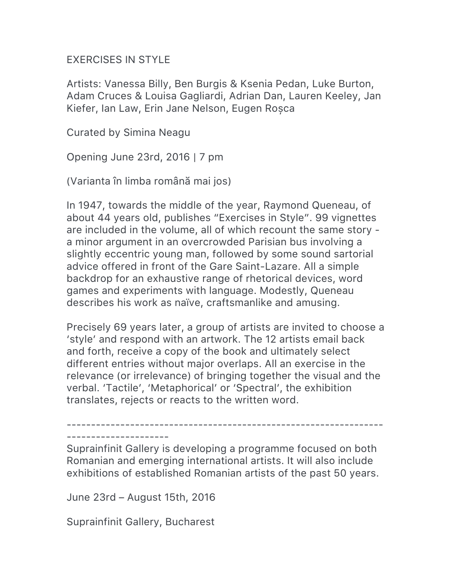## EXERCISES IN STYLE

Artists: Vanessa Billy, Ben Burgis & Ksenia Pedan, Luke Burton, Adam Cruces & Louisa Gagliardi, Adrian Dan, Lauren Keeley, Jan Kiefer, Ian Law, Erin Jane Nelson, Eugen Roșca

Curated by Simina Neagu

Opening June 23rd, 2016 | 7 pm

(Varianta în limba română mai jos)

In 1947, towards the middle of the year, Raymond Queneau, of about 44 years old, publishes "Exercises in Style". 99 vignettes are included in the volume, all of which recount the same story a minor argument in an overcrowded Parisian bus involving a slightly eccentric young man, followed by some sound sartorial advice offered in front of the Gare Saint-Lazare. All a simple backdrop for an exhaustive range of rhetorical devices, word games and experiments with language. Modestly, Queneau describes his work as naïve, craftsmanlike and amusing.

Precisely 69 years later, a group of artists are invited to choose a 'style' and respond with an artwork. The 12 artists email back and forth, receive a copy of the book and ultimately select different entries without major overlaps. All an exercise in the relevance (or irrelevance) of bringing together the visual and the verbal. 'Tactile', 'Metaphorical' or 'Spectral', the exhibition translates, rejects or reacts to the written word.

----------------------------------------------------------------- ---------------------

Suprainfinit Gallery is developing a programme focused on both Romanian and emerging international artists. It will also include exhibitions of established Romanian artists of the past 50 years.

June 23rd – August 15th, 2016

Suprainfinit Gallery, Bucharest